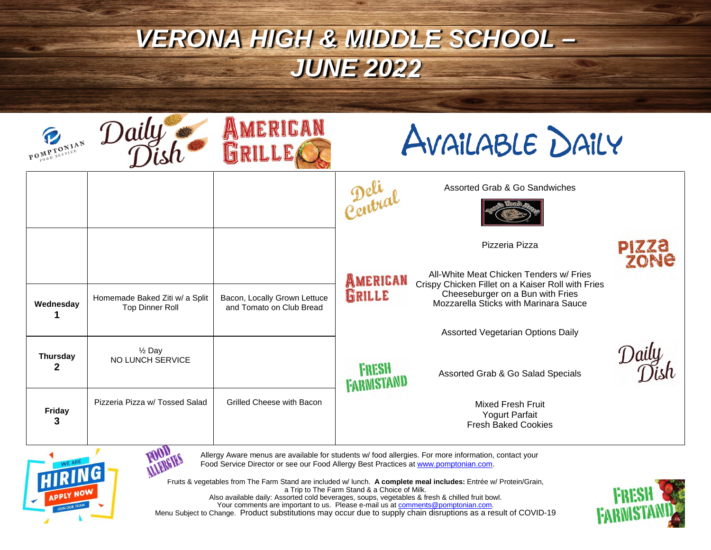| POMPTONIAN           | Daily                                                    | AMERICAN                                                 | AVAILABLE DAILY                   |                                                                                              |                      |
|----------------------|----------------------------------------------------------|----------------------------------------------------------|-----------------------------------|----------------------------------------------------------------------------------------------|----------------------|
|                      |                                                          |                                                          |                                   | Assorted Grab & Go Sandwiches                                                                |                      |
|                      |                                                          |                                                          |                                   | Pizzeria Pizza                                                                               | <b>PIZZA</b><br>ZONE |
|                      |                                                          |                                                          | AMERICAN                          | All-White Meat Chicken Tenders w/ Fries<br>Crispy Chicken Fillet on a Kaiser Roll with Fries |                      |
| Wednesday            | Homemade Baked Ziti w/ a Split<br><b>Top Dinner Roll</b> | Bacon, Locally Grown Lettuce<br>and Tomato on Club Bread | GRILLE                            | Cheeseburger on a Bun with Fries<br>Mozzarella Sticks with Marinara Sauce                    |                      |
|                      |                                                          |                                                          |                                   | <b>Assorted Vegetarian Options Daily</b>                                                     |                      |
| <b>Thursday</b><br>2 | $\frac{1}{2}$ Day<br>NO LUNCH SERVICE                    |                                                          | <b>FRESH</b><br><b>FARWISTANI</b> | Assorted Grab & Go Salad Specials                                                            |                      |
| Friday<br>3          | Pizzeria Pizza w/ Tossed Salad                           | Grilled Cheese with Bacon                                |                                   | Mixed Fresh Fruit<br>Yogurt Parfait<br><b>Fresh Baked Cookies</b>                            |                      |



**MARGIES** Allergy Aware menus are available for students w/ food allergies. For more information, contact your Food Service Director or see our Food Allergy Best Practices at www.pomptonian.com.

Fruits & vegetables from The Farm Stand are included w/ lunch. **A complete meal includes:** Entrée w/ Protein/Grain, a Trip to The Farm Stand & a Choice of Milk. Also available daily: Assorted cold beverages, soups, vegetables & fresh & chilled fruit bowl. Your comments are important to us. Please e-mail us at <u>comments@pomptonian.com</u>. Menu Subject to Change. Product substitutions may occur due to supply chain disruptions as a result of COVID-19

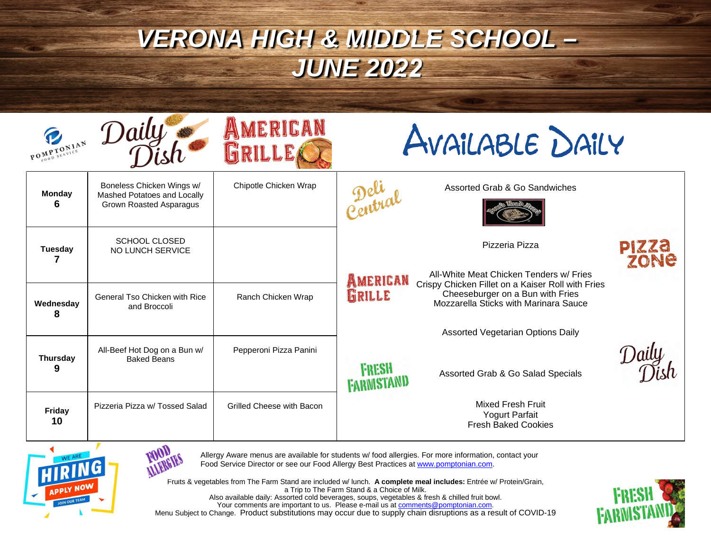| POMPTONIAN           | Daily                                                                               | AMERICAN<br>GRILLEA                                                               | AVAILABLE DAILY            |                                                                                                                                                                           |                      |
|----------------------|-------------------------------------------------------------------------------------|-----------------------------------------------------------------------------------|----------------------------|---------------------------------------------------------------------------------------------------------------------------------------------------------------------------|----------------------|
| <b>Monday</b><br>6   | Boneless Chicken Wings w/<br>Mashed Potatoes and Locally<br>Grown Roasted Asparagus | Chipotle Chicken Wrap                                                             | Della                      | Assorted Grab & Go Sandwiches                                                                                                                                             |                      |
| <b>Tuesday</b>       | <b>SCHOOL CLOSED</b><br>NO LUNCH SERVICE                                            |                                                                                   |                            | Pizzeria Pizza                                                                                                                                                            | <b>PIZZA</b><br>ZONE |
| Wednesday<br>ឧ       | <b>General Tso Chicken with Rice</b><br>and Broccoli                                | Ranch Chicken Wrap                                                                | AMERICAN<br>GRILLE         | All-White Meat Chicken Tenders w/ Fries<br>Crispy Chicken Fillet on a Kaiser Roll with Fries<br>Cheeseburger on a Bun with Fries<br>Mozzarella Sticks with Marinara Sauce |                      |
|                      |                                                                                     |                                                                                   |                            | <b>Assorted Vegetarian Options Daily</b>                                                                                                                                  |                      |
| <b>Thursday</b><br>9 | All-Beef Hot Dog on a Bun w/<br><b>Baked Beans</b>                                  | Pepperoni Pizza Panini                                                            | <b>FRESH</b><br>FARWISTAND | Assorted Grab & Go Salad Specials                                                                                                                                         |                      |
| Friday<br>10         | Pizzeria Pizza w/ Tossed Salad                                                      | <b>Grilled Cheese with Bacon</b>                                                  |                            | <b>Mixed Fresh Fruit</b><br><b>Yogurt Parfait</b><br><b>Fresh Baked Cookies</b>                                                                                           |                      |
|                      |                                                                                     | Food Service Director or see our Food Allergy Rest Practices at www.perprison.com |                            | Allergy Aware menus are available for students w/ food allergies. For more information, contact your                                                                      |                      |



**ALLERGIES**<br>*FOOD* Allergy Aware menus are available for students w/ food allergies. For more information, contact your Food Service Director or see our Food Allergy Best Practices at www.pomptonian.com.

Fruits & vegetables from The Farm Stand are included w/ lunch. **A complete meal includes:** Entrée w/ Protein/Grain, a Trip to The Farm Stand & a Choice of Milk. Also available daily: Assorted cold beverages, soups, vegetables & fresh & chilled fruit bowl. Your comments are important to us. Please e-mail us at comments@pomptonian.com. Menu Subject to Change. Product substitutions may occur due to supply chain disruptions as a result of COVID-19

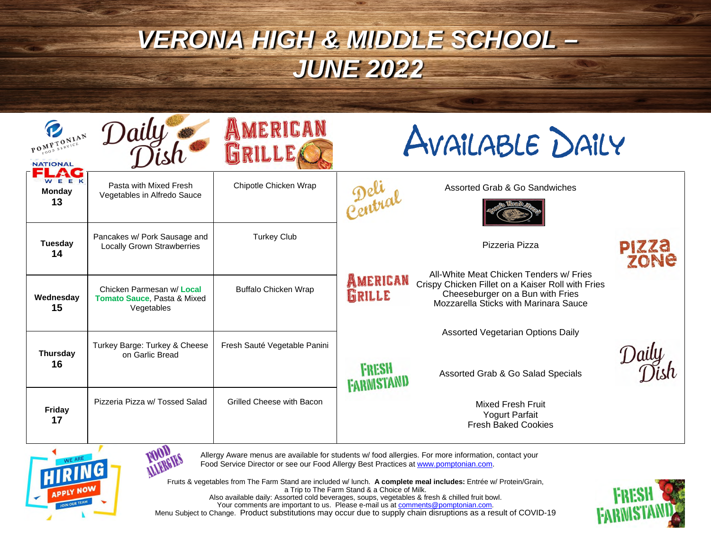| POMPTONIAN<br><b>NATIONAL</b>                                                                                                                                                               | Daily                                                                  | AMERICAN<br><b>GRILLE</b>    | AVAILABLE DAILY            |                                                                                                                                                                           |                      |
|---------------------------------------------------------------------------------------------------------------------------------------------------------------------------------------------|------------------------------------------------------------------------|------------------------------|----------------------------|---------------------------------------------------------------------------------------------------------------------------------------------------------------------------|----------------------|
| WEEK<br><b>Monday</b><br>13                                                                                                                                                                 | Pasta with Mixed Fresh<br>Vegetables in Alfredo Sauce                  | Chipotle Chicken Wrap        | Petral                     | Assorted Grab & Go Sandwiches                                                                                                                                             |                      |
| <b>Tuesday</b><br>14                                                                                                                                                                        | Pancakes w/ Pork Sausage and<br><b>Locally Grown Strawberries</b>      | <b>Turkey Club</b>           |                            | Pizzeria Pizza                                                                                                                                                            | <b>PIZZA</b><br>ZONE |
| Wednesday<br>15                                                                                                                                                                             | Chicken Parmesan w/ Local<br>Tomato Sauce, Pasta & Mixed<br>Vegetables | <b>Buffalo Chicken Wrap</b>  | AMERICAN<br>GRILLE         | All-White Meat Chicken Tenders w/ Fries<br>Crispy Chicken Fillet on a Kaiser Roll with Fries<br>Cheeseburger on a Bun with Fries<br>Mozzarella Sticks with Marinara Sauce |                      |
|                                                                                                                                                                                             | Turkey Barge: Turkey & Cheese                                          | Fresh Sauté Vegetable Panini |                            | <b>Assorted Vegetarian Options Daily</b>                                                                                                                                  |                      |
| <b>Thursday</b><br>16                                                                                                                                                                       | on Garlic Bread                                                        |                              | <b>FRESH</b><br>FARMISTAND | Assorted Grab & Go Salad Specials                                                                                                                                         |                      |
| Friday<br>17                                                                                                                                                                                | Pizzeria Pizza w/ Tossed Salad                                         | Grilled Cheese with Bacon    |                            | <b>Mixed Fresh Fruit</b><br><b>Yogurt Parfait</b><br><b>Fresh Baked Cookies</b>                                                                                           |                      |
| Allergy Aware menus are available for students w/ food allergies. For more information, contact your<br>Food Service Director or see our Food Allergy Rest Practices at www.perprisoner.com |                                                                        |                              |                            |                                                                                                                                                                           |                      |





Fruits & vegetables from The Farm Stand are included w/ lunch. **A complete meal includes:** Entrée w/ Protein/Grain, a Trip to The Farm Stand & a Choice of Milk. Also available daily: Assorted cold beverages, soups, vegetables & fresh & chilled fruit bowl. Your comments are important to us. Please e-mail us at comments@pomptonian.com.



Menu Subject to Change. Product substitutions may occur due to supply chain disruptions as a result of COVID-19